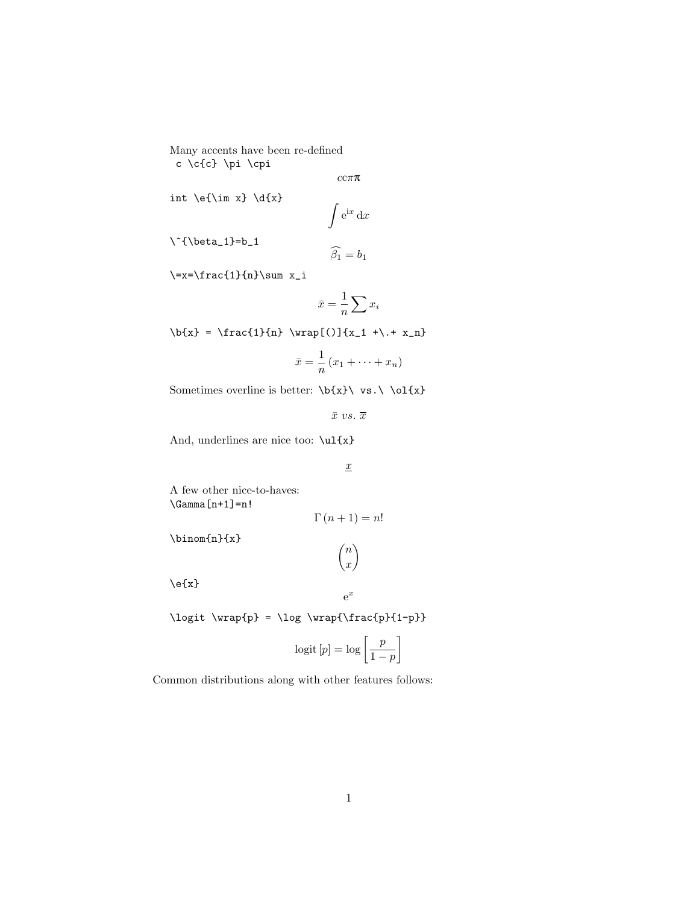Many accents have been re-defined c \c{c} \pi \cpi

ccππ

 $\int e^{ix} dx$ 

int  $\left\{\lim x\right\} \d{x}$ 

 $\iota$  {\beta\_1}=b\_1

$$
\widehat{\beta_1} = b_1
$$

 $\verb|}=x=\frac{1}{n}\sum x_i$ 

$$
\bar{x} = \frac{1}{n} \sum x_i
$$

 $\b{x} = \frac{1}{n} \varphi((\) {x_1 + \ldots + x_n}$ 

$$
\bar{x} = \frac{1}{n} (x_1 + \dots + x_n)
$$

Sometimes overline is better:  $\b{x} \ vs. \ 01\{x\}$ 

 $\bar{x}$  vs.  $\bar{x}$ 

And, underlines are nice too:  $\u1\{x\}$ 

 $\underline{x}$ 

A few other nice-to-haves:  $\label{eq:Gamma} \operatorname{\mathsf{Gamma}}\left[n+1\right]=n!$ 

$$
\Gamma(n+1) = n!
$$

 $\sqrt{n}$  $\boldsymbol{x}$ ).

\binom{n}{x}

 $\e{x}$ 

 $\label{lem:1} $$\logit \wrap{p} = \log \wrap{\frac{p}{1-p}}$ 

$$
logit [p] = log \left[ \frac{p}{1-p} \right]
$$

 $e^x$ 

Common distributions along with other features follows: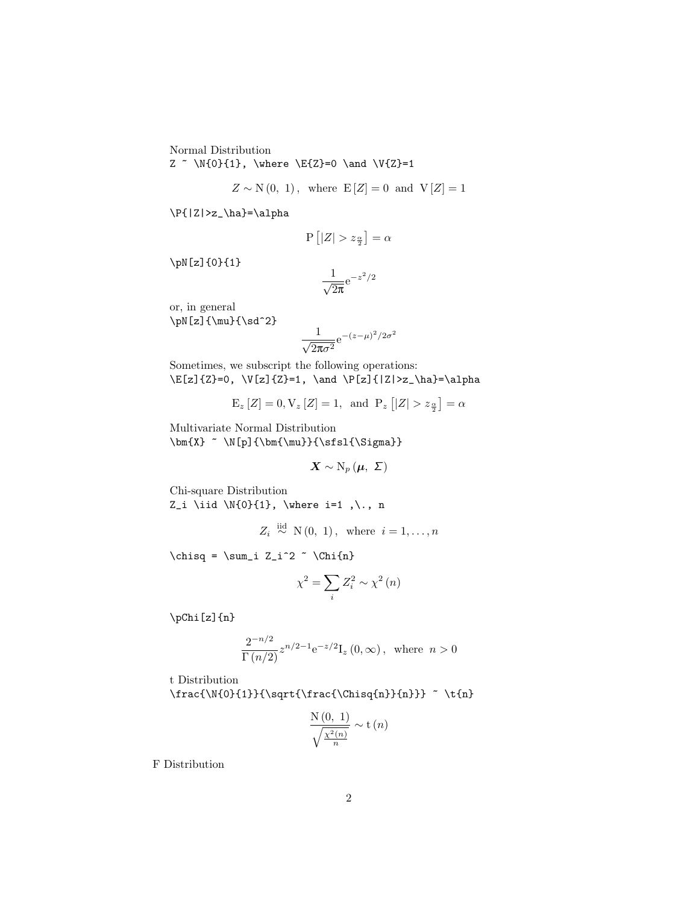Normal Distribution  $Z \sim \N{0}{1}$ , \where \E{Z}=0 \and \V{Z}=1

$$
Z \sim N(0, 1)
$$
, where  $E[Z] = 0$  and  $V[Z] = 1$ 

 $\P{|Z|>z_\hbar}=\alpha$ 

$$
P\left[|Z| > z_{\frac{\alpha}{2}}\right] = \alpha
$$

\pN[z]{0}{1}

$$
\frac{1}{\sqrt{2\pi}}\mathrm{e}^{-z^2/2}
$$

or, in general  $\pi[z]{\mu}{\sd^2}$ 

$$
\frac{1}{\sqrt{2\pi\sigma^2}}e^{-(z-\mu)^2/2\sigma^2}
$$

Sometimes, we subscript the following operations:  $\E[z](Z)=0$ ,  $V[z](Z)=1$ ,  $\and \P[z](|Z|>z_\hbar)=\alpha$ 

$$
E_z[Z] = 0, V_z[Z] = 1
$$
, and  $P_z[|Z| > z_{\frac{\alpha}{2}}] = \alpha$ 

Multivariate Normal Distribution  $\label{thm:main} $$\bm{X} ^ N[p]{\bm{\mu}}}{\sfsl}_{\S1{\,\Sigma}}$ 

 $\mathbf{X} \sim \mathrm{N}_p\left(\boldsymbol{\mu},\right.\vert \boldsymbol{\Sigma}\right)$ 

Chi-square Distribution Z\_i \iid \N{0}{1}, \where i=1 ,\., n

$$
Z_i \stackrel{\text{iid}}{\sim} \mathcal{N}(0, 1), \text{ where } i = 1, \dots, n
$$

 $\chi = \sum_i Z_i^2$   $\chi_{n}$ 

$$
\chi^2 = \sum_i Z_i^2 \sim \chi^2(n)
$$

\pChi[z]{n}

$$
\frac{2^{-n/2}}{\Gamma(n/2)}z^{n/2-1}e^{-z/2}I_z(0,\infty), \text{ where } n>0
$$

t Distribution

 $\frac{\N{0}{1}}{\sqrt{ract(\text{N}^{n}}{n}} ~ \tfn$ 

$$
\frac{\mathrm{N}\left(0,\ 1\right)}{\sqrt{\frac{\chi^{2}\left(n\right)}{n}}} \sim \mathrm{t}\left(n\right)
$$

F Distribution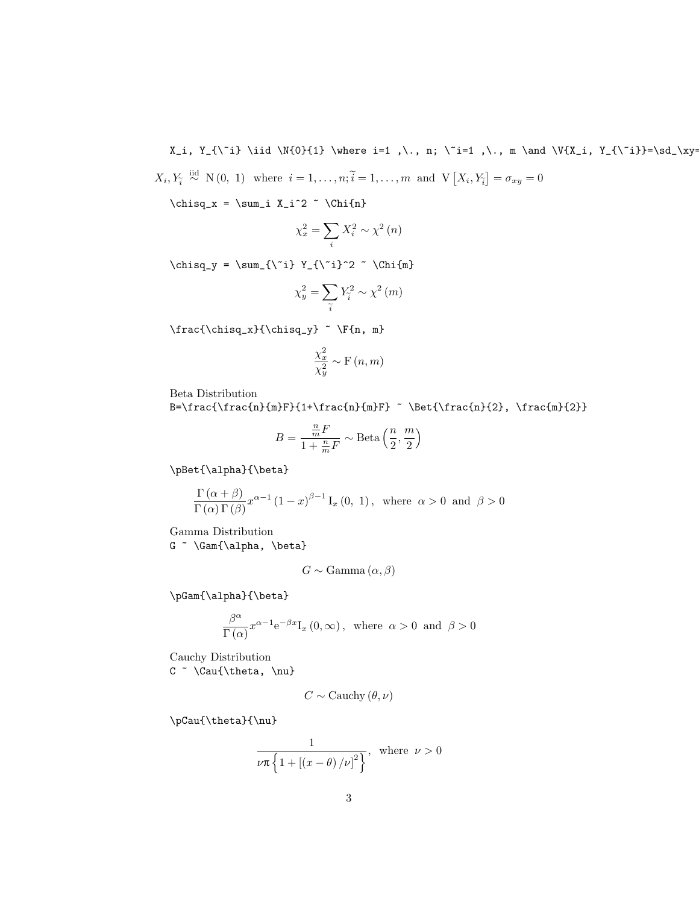X\_i, Y\_{\^i} \iid \N{0}{1} \where i=1 ,\., n; \^i=1 ,\., m \and \V{X\_i, Y\_{\^i}}=\sd\_\xy=  $X_i, Y_i \stackrel{\text{iid}}{\sim} \mathbb{N} (0, 1)$  where  $i = 1, \ldots, n; \tilde{i} = 1, \ldots, m$  and  $\mathbb{V} [X_i, Y_i] = \sigma_{xy} = 0$ 

 $\label{th:main} $$ \chisq_x = \sum_i X_i^2 ~ \Chi{n}$ 

$$
\chi_x^2 = \sum_i X_i^2 \sim \chi^2(n)
$$

\chisq\_y = \sum\_{\~i} Y\_{\~i}^2 ~ \Chi{m}

$$
\chi_y^2 = \sum_{\tilde{i}} Y_{\tilde{i}}^2 \sim \chi^2(m)
$$

 $\frac{\chi_x}{\chisq_y}$   $\F{n, m}$ 

$$
\frac{\chi_{x}^{2}}{\chi_{y}^{2}} \sim \mathrm{F}\left(n, m\right)
$$

Beta Distribution

B=\frac{\frac{n}{m}F}{1+\frac{n}{m}F} ~ \Bet{\frac{n}{2}, \frac{m}{2}}

$$
B = \frac{\frac{n}{m}F}{1 + \frac{n}{m}F} \sim \text{Beta}\left(\frac{n}{2}, \frac{m}{2}\right)
$$

\pBet{\alpha}{\beta}

$$
\frac{\Gamma(\alpha+\beta)}{\Gamma(\alpha)\Gamma(\beta)}x^{\alpha-1}(1-x)^{\beta-1}I_x(0, 1), \text{ where } \alpha > 0 \text{ and } \beta > 0
$$

Gamma Distribution G ~  $\Gamma\{\alpha, \beta\}$ 

$$
G \sim \text{Gamma}(\alpha, \beta)
$$

\pGam{\alpha}{\beta}

$$
\frac{\beta^{\alpha}}{\Gamma\left(\alpha\right)}x^{\alpha-1}\mathrm{e}^{-\beta x}\mathrm{I}_{x}\left(0,\infty\right),\;\;\text{where}\;\;\alpha>0\;\;\text{and}\;\;\beta>0
$$

Cauchy Distribution  $C \sim \Cau\{\theta, \nu\}$ 

$$
C \sim
$$
 Cauchy  $(\theta, \nu)$ 

\pCau{\theta}{\nu}

$$
\frac{1}{\nu\pi\left\{1+\left[\left(x-\theta\right)/\nu\right]^{2}\right\}}, \text{ where } \nu > 0
$$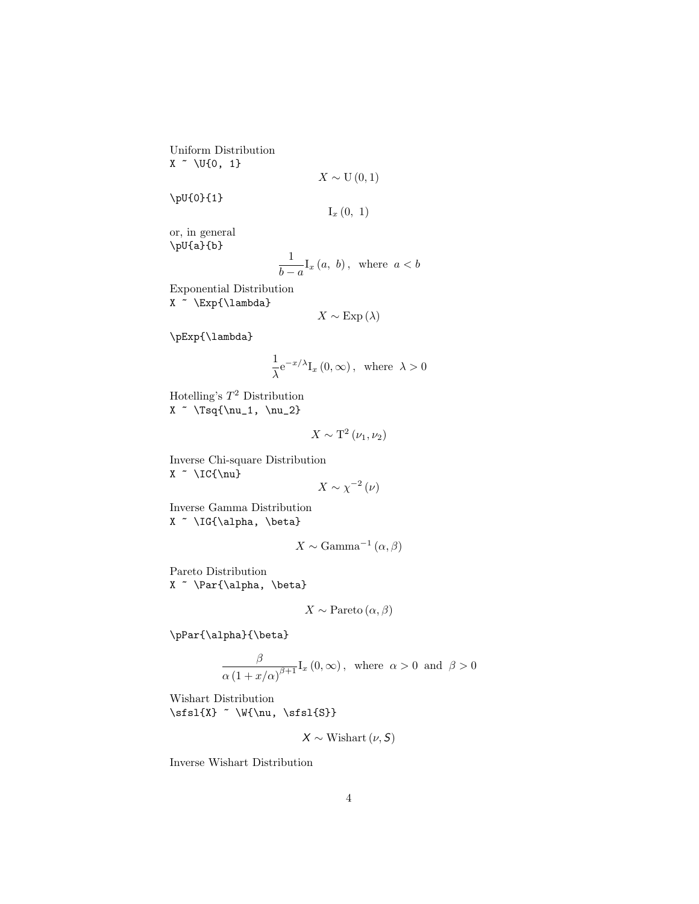Uniform Distribution  $X \sim \U{0, 1}$ 

$$
X\sim\mathrm{U}\left(0,1\right)
$$

\pU{0}{1}

 $I_x(0, 1)$ 

or, in general \pU{a}{b}

$$
\frac{1}{b-a}\mathbf{I}_x\left(a,\ b\right),\ \ \text{where}\ \ a
$$

Exponential Distribution X ~ \Exp{\lambda}

$$
X \sim \text{Exp}\left(\lambda\right)
$$

\pExp{\lambda}

$$
\frac{1}{\lambda}e^{-x/\lambda}I_{x}\left(0,\infty\right),\text{ where }\lambda>0
$$

Hotelling's  $T^2$  Distribution  $X \sim \T{\\nu_1, \nu_2}$ 

$$
X \sim \mathrm{T}^2 \left( \nu_1, \nu_2 \right)
$$

Inverse Chi-square Distribution X ~ \IC{\nu}

$$
X \sim \chi^{-2}\left(\nu\right)
$$

Inverse Gamma Distribution X ~ \IG{\alpha, \beta}

$$
X \sim \text{Gamma}^{-1}\left(\alpha, \beta\right)
$$

Pareto Distribution X ~ \Par{\alpha, \beta}

$$
X \sim
$$
 Pareto  $(\alpha, \beta)$ 

\pPar{\alpha}{\beta}

$$
\frac{\beta}{\alpha\left(1+x/\alpha\right)^{\beta+1}}I_x\left(0,\infty\right), \text{ where } \alpha > 0 \text{ and } \beta > 0
$$

Wishart Distribution  $\sfsl{X}$  ~ \W{\nu, \sfsl{S}}

 $X \sim$  Wishart  $(\nu, S)$ 

Inverse Wishart Distribution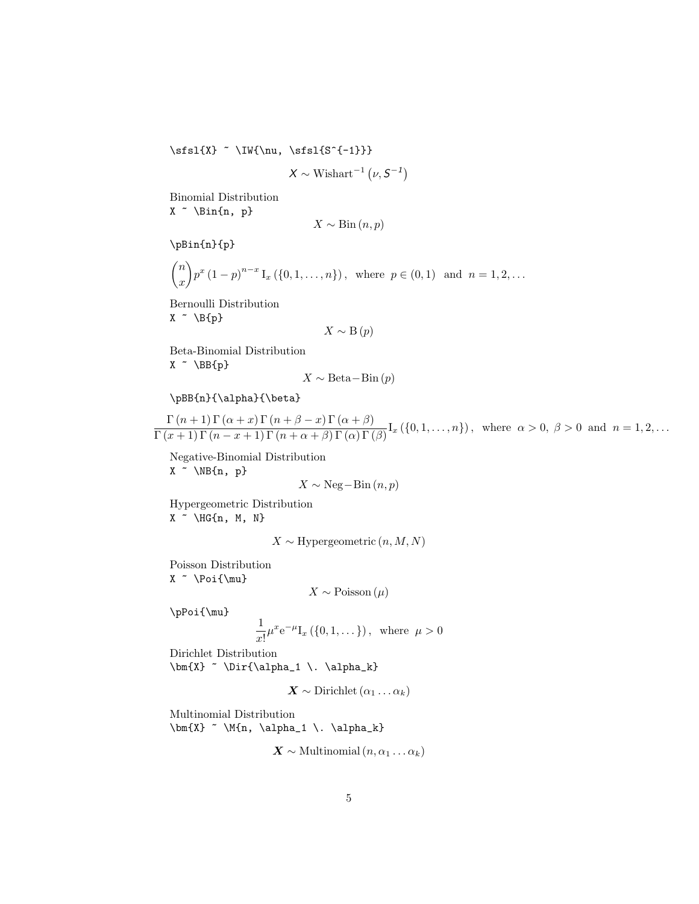$\label{eq:ss1} $$\sfsl_{X} ^ IW{\nu, \sfsl_{S^{-1}}}$$$ 

$$
X \sim \text{Wishart}^{-1}\left(\nu, S^{-1}\right)
$$

Binomial Distribution  $X \sim \binom{n}{p}$ 

$$
X \sim \text{Bin}\left(n, p\right)
$$

\pBin{n}{p}

$$
\binom{n}{x} p^x (1-p)^{n-x} \mathcal{I}_x (\{0,1,\ldots,n\}), \text{ where } p \in (0,1) \text{ and } n = 1,2,\ldots
$$

Bernoulli Distribution  $X \sim \B{p}$ 

$$
X \sim \mathcal{B}(p)
$$

Beta-Binomial Distribution  $X \sim \BB{p}$ 

$$
X \sim \text{Beta-Bin}(p)
$$

```
\pBB{n}{\alpha}{\beta}
```
 $\Gamma(n+1)\Gamma(\alpha+x)\Gamma(n+\beta-x)\Gamma(\alpha+\beta)$  $\frac{\Gamma(n+1)\Gamma(\alpha+x)\Gamma(n+\beta+x)\Gamma(\alpha+\beta)}{\Gamma(x+1)\Gamma(n-x+1)\Gamma(n+\alpha+\beta)\Gamma(\alpha)\Gamma(\beta)}$  I<sub>x</sub> ({0,1,...,n}), where  $\alpha > 0, \beta > 0$  and  $n = 1, 2, ...$ 

Negative-Binomial Distribution  $X \sim \NB{n, p}$ 

$$
X \sim \text{Neg}-\text{Bin}(n, p)
$$

Hypergeometric Distribution  $X \sim \H G\{n, M, N\}$ 

 $X \sim$  Hypergeometric  $(n, M, N)$ 

Poisson Distribution  $X$  ~ \Poi{\mu}

 $X \sim \text{Poisson}(\mu)$ 

\pPoi{\mu}

$$
\frac{1}{x!} \mu^x e^{-\mu} I_x (\{0, 1, \dots\}), \text{ where } \mu > 0
$$

Dirichlet Distribution  $\bm{X}$  ~  $Dir{\alpha_1 \ . \alpha_k}$ 

 $\mathbf{X} \sim \text{Dirichlet}(\alpha_1 \ldots \alpha_k)$ 

Multinomial Distribution  $\label{eq:3} $$\bm{X} ^ M{n, \alpha_1 \.\alpha_k}$ 

 $\mathbf{X} \sim \text{Multinomial}(n, \alpha_1 \dots \alpha_k)$